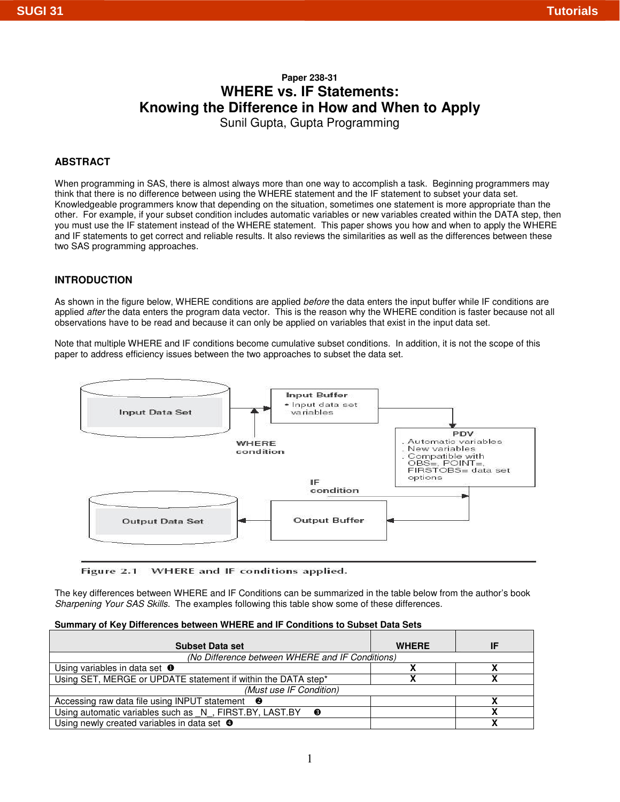# **Paper 238-31 WHERE vs. IF Statements: Knowing the Difference in How and When to Apply**

Sunil Gupta, Gupta Programming

# **ABSTRACT**

When programming in SAS, there is almost always more than one way to accomplish a task. Beginning programmers may think that there is no difference between using the WHERE statement and the IF statement to subset your data set. Knowledgeable programmers know that depending on the situation, sometimes one statement is more appropriate than the other. For example, if your subset condition includes automatic variables or new variables created within the DATA step, then you must use the IF statement instead of the WHERE statement. This paper shows you how and when to apply the WHERE and IF statements to get correct and reliable results. It also reviews the similarities as well as the differences between these two SAS programming approaches.

# **INTRODUCTION**

As shown in the figure below, WHERE conditions are applied before the data enters the input buffer while IF conditions are applied after the data enters the program data vector. This is the reason why the WHERE condition is faster because not all observations have to be read and because it can only be applied on variables that exist in the input data set.

Note that multiple WHERE and IF conditions become cumulative subset conditions. In addition, it is not the scope of this paper to address efficiency issues between the two approaches to subset the data set.



Figure 2.1 WHERE and IF conditions applied.

The key differences between WHERE and IF Conditions can be summarized in the table below from the author's book Sharpening Your SAS Skills. The examples following this table show some of these differences.

#### **Summary of Key Differences between WHERE and IF Conditions to Subset Data Sets**

| <b>Subset Data set</b>                                                        | <b>WHERE</b> | IF |
|-------------------------------------------------------------------------------|--------------|----|
| (No Difference between WHERE and IF Conditions)                               |              |    |
| Using variables in data set $\bullet$                                         |              |    |
| Using SET, MERGE or UPDATE statement if within the DATA step*                 |              |    |
| (Must use IF Condition)                                                       |              |    |
| Accessing raw data file using INPUT statement <sup><math>\bullet</math></sup> |              |    |
| Using automatic variables such as N, FIRST.BY, LAST.BY<br>❸                   |              |    |
| Using newly created variables in data set <sup>o</sup>                        |              |    |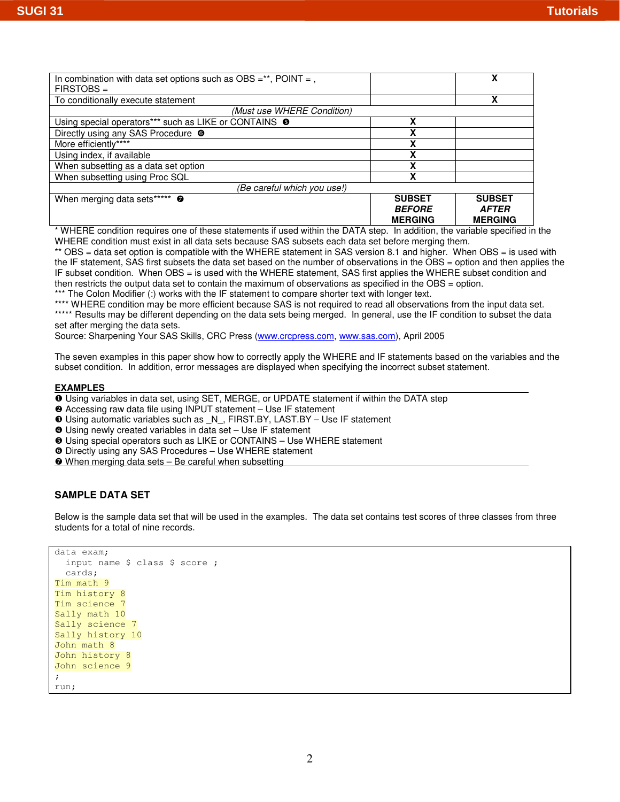| In combination with data set options such as OBS =**, POINT = ,<br>$FIRSTOBS =$ |                                                  | x                                               |
|---------------------------------------------------------------------------------|--------------------------------------------------|-------------------------------------------------|
| To conditionally execute statement                                              |                                                  | χ                                               |
| (Must use WHERE Condition)                                                      |                                                  |                                                 |
| Using special operators*** such as LIKE or CONTAINS <sup>O</sup>                | χ                                                |                                                 |
| Directly using any SAS Procedure <sup>o</sup>                                   | χ                                                |                                                 |
| More efficiently****                                                            | x                                                |                                                 |
| Using index, if available                                                       | χ                                                |                                                 |
| When subsetting as a data set option                                            | x                                                |                                                 |
| When subsetting using Proc SQL                                                  | χ                                                |                                                 |
| (Be careful which you use!)                                                     |                                                  |                                                 |
| When merging data sets***** <sup>o</sup>                                        | <b>SUBSET</b><br><b>BEFORE</b><br><b>MERGING</b> | <b>SUBSET</b><br><b>AFTER</b><br><b>MERGING</b> |

WHERE condition requires one of these statements if used within the DATA step. In addition, the variable specified in the WHERE condition must exist in all data sets because SAS subsets each data set before merging them.

\*\* OBS = data set option is compatible with the WHERE statement in SAS version 8.1 and higher. When OBS = is used with the IF statement, SAS first subsets the data set based on the number of observations in the OBS = option and then applies the IF subset condition. When OBS = is used with the WHERE statement, SAS first applies the WHERE subset condition and then restricts the output data set to contain the maximum of observations as specified in the OBS = option.

\*\*\* The Colon Modifier (:) works with the IF statement to compare shorter text with longer text.

\*\*\*\* WHERE condition may be more efficient because SAS is not required to read all observations from the input data set. \*\*\*\*\* Results may be different depending on the data sets being merged. In general, use the IF condition to subset the data set after merging the data sets.

Source: Sharpening Your SAS Skills, CRC Press (www.crcpress.com, www.sas.com), April 2005

The seven examples in this paper show how to correctly apply the WHERE and IF statements based on the variables and the subset condition. In addition, error messages are displayed when specifying the incorrect subset statement.

#### **EXAMPLES**

- Using variables in data set, using SET, MERGE, or UPDATE statement if within the DATA step
- $\bullet$  Accessing raw data file using INPUT statement Use IF statement
- Using automatic variables such as \_N\_, FIRST.BY, LAST.BY Use IF statement
- Using newly created variables in data set Use IF statement
- Using special operators such as LIKE or CONTAINS Use WHERE statement
- Directly using any SAS Procedures Use WHERE statement
- When merging data sets Be careful when subsetting

## **SAMPLE DATA SET**

Below is the sample data set that will be used in the examples. The data set contains test scores of three classes from three students for a total of nine records.

```
data exam; 
  input name $ class $ score ;
   cards; 
Tim math 9 
Tim history 8 
Tim science 7 
Sally math 10 
Sally science 7 
Sally history 10
John math 8 
John history 8 
John science 9 
; 
run;
```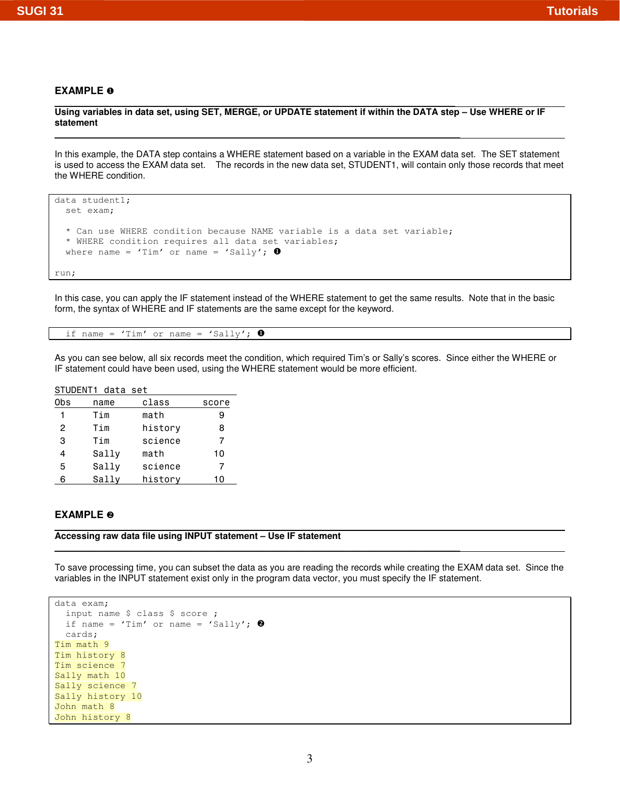### **EXAMPLE**  $\odot$

**Using variables in data set, using SET, MERGE, or UPDATE statement if within the DATA step – Use WHERE or IF statement** 

In this example, the DATA step contains a WHERE statement based on a variable in the EXAM data set. The SET statement is used to access the EXAM data set. The records in the new data set, STUDENT1, will contain only those records that meet the WHERE condition.

```
data student1; 
   set exam; 
   * Can use WHERE condition because NAME variable is a data set variable; 
   * WHERE condition requires all data set variables; 
  where name = 'Tim' or name = 'Sally'; \mathbf{0}run;
```
 $\_$  . The contribution of the contribution of the contribution of the contribution of the contribution of the contribution of the contribution of the contribution of the contribution of the contribution of the contributio

\_\_\_\_\_\_\_\_\_\_\_\_\_\_\_\_\_\_\_\_\_\_\_\_\_\_\_\_\_\_\_\_\_\_\_\_\_\_\_\_\_\_\_\_\_\_\_\_\_\_\_\_\_\_\_\_\_\_\_\_\_\_\_\_\_\_\_\_\_\_\_\_\_\_\_\_\_\_\_\_

In this case, you can apply the IF statement instead of the WHERE statement to get the same results. Note that in the basic form, the syntax of WHERE and IF statements are the same except for the keyword.

if name = 'Tim' or name = 'Sally';  $\bullet$ 

As you can see below, all six records meet the condition, which required Tim's or Sally's scores. Since either the WHERE or IF statement could have been used, using the WHERE statement would be more efficient.

STUDENT1 data set

| 0bs | name  | class   | score |
|-----|-------|---------|-------|
|     | Tim   | math    | 9     |
| 2   | Tim   | history | 8     |
| 3   | Tim   | science | 7     |
|     | Sally | math    | 10    |
| 5   | Sally | science | 7     |
| 6   | Sally | history | 10    |

# **EXAMPLE @**

**Accessing raw data file using INPUT statement – Use IF statement** 

To save processing time, you can subset the data as you are reading the records while creating the EXAM data set. Since the variables in the INPUT statement exist only in the program data vector, you must specify the IF statement.

 $\_$  . The contribution of the contribution of the contribution of the contribution of the contribution of the contribution of the contribution of the contribution of the contribution of the contribution of the contributio

\_\_\_\_\_\_\_\_\_\_\_\_\_\_\_\_\_\_\_\_\_\_\_\_\_\_\_\_\_\_\_\_\_\_\_\_\_\_\_\_\_\_\_\_\_\_\_\_\_\_\_\_\_\_\_\_\_\_\_\_\_\_\_\_\_\_\_\_\_\_\_\_\_\_\_\_\_\_\_\_

```
data exam; 
   input name $ class $ score ; 
  if name = 'Tim' or name = 'Sally'; \Theta cards; 
Tim math 9 
Tim history 8 
Tim science 7 
Sally math 10 
Sally science 7 
Sally history 10 
John math 8 
John history 8
```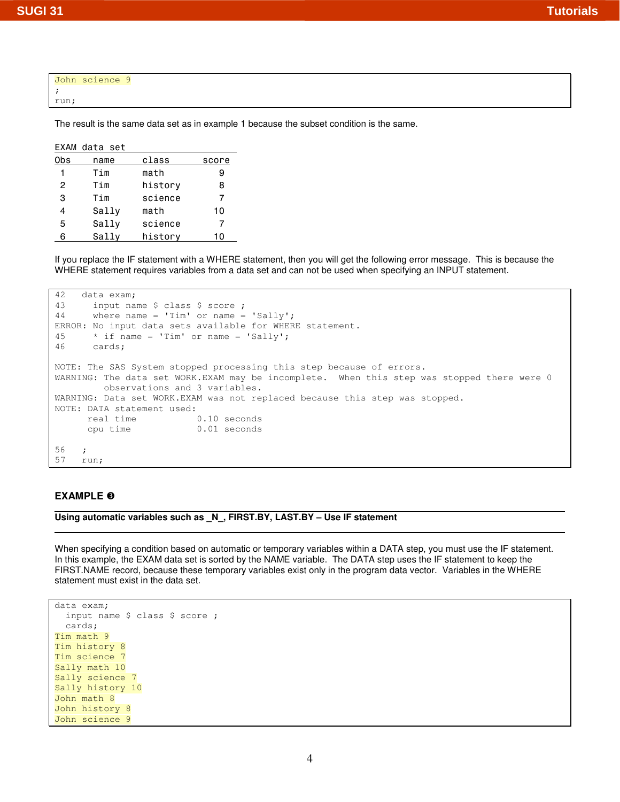| John science 9 |  |  |  |
|----------------|--|--|--|
|                |  |  |  |
| run;           |  |  |  |

The result is the same data set as in example 1 because the subset condition is the same.

# EXAM data set

| 0bs | name  | class   | score |
|-----|-------|---------|-------|
|     | Tim   | math    | я     |
| 2   | Tim   | history | 8     |
| 3   | Tim   | science |       |
| 4   | Sally | math    | 10    |
| 5   | Sally | science |       |
|     | Sally | history | 10    |

If you replace the IF statement with a WHERE statement, then you will get the following error message. This is because the WHERE statement requires variables from a data set and can not be used when specifying an INPUT statement.

```
42 data exam; 
43 input name $ class $ score ; 
44 where name = 'Tim' or name = 'Sally'; 
ERROR: No input data sets available for WHERE statement. 
45 * if name = 'Tim' or name = 'Sally';
46 cards; 
NOTE: The SAS System stopped processing this step because of errors. 
WARNING: The data set WORK.EXAM may be incomplete. When this step was stopped there were 0 
         observations and 3 variables. 
WARNING: Data set WORK.EXAM was not replaced because this step was stopped. 
NOTE: DATA statement used: 
      real time 0.10 seconds 
      cpu time 0.01 seconds 
56 ; 
57 run;
```
# **EXAMPLE**

#### **Using automatic variables such as \_N\_, FIRST.BY, LAST.BY – Use IF statement**

\_\_\_\_\_\_\_\_\_\_\_\_\_\_\_\_\_\_\_\_\_\_\_\_\_\_\_\_\_\_\_\_\_\_\_\_\_\_\_\_\_\_\_\_\_\_\_\_\_\_\_\_\_\_\_\_\_\_\_\_\_\_\_\_\_\_\_\_\_\_\_\_\_\_\_\_\_\_\_\_

\_\_\_\_\_\_\_\_\_\_\_\_\_\_\_\_\_\_\_\_\_\_\_\_\_\_\_\_\_\_\_\_\_\_\_\_\_\_\_\_\_\_\_\_\_\_\_\_\_\_\_\_\_\_\_\_\_\_\_\_\_\_\_\_\_\_\_\_\_\_\_\_\_\_\_\_\_\_\_\_

When specifying a condition based on automatic or temporary variables within a DATA step, you must use the IF statement. In this example, the EXAM data set is sorted by the NAME variable. The DATA step uses the IF statement to keep the FIRST.NAME record, because these temporary variables exist only in the program data vector. Variables in the WHERE statement must exist in the data set.

```
data exam; 
 input name $ class $ score ;
   cards; 
Tim math 9 
Tim history 8 
Tim science 7 
Sally math 10 
Sally science 7 
Sally history 10 
John math 8 
John history 8 
John science 9
```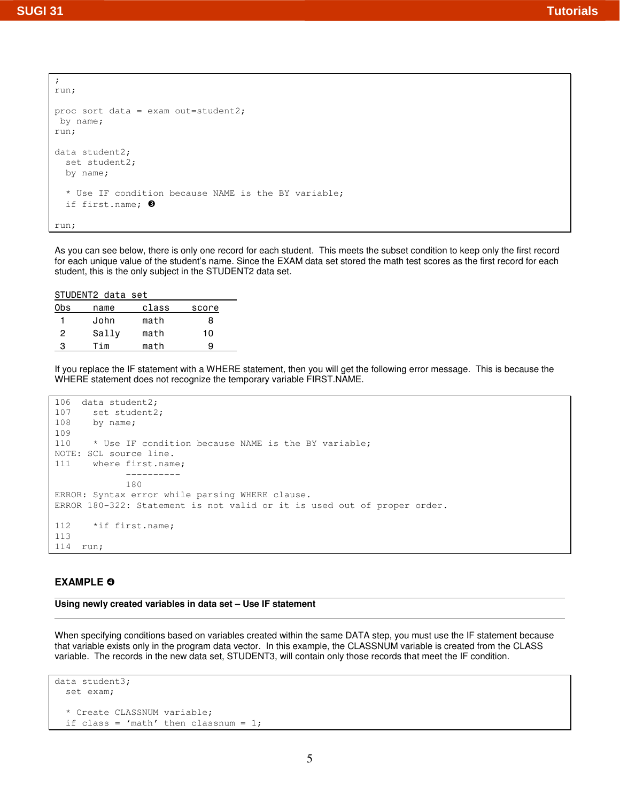; run; proc sort data = exam out=student2; by name; run; data student2; set student2; by name; \* Use IF condition because NAME is the BY variable; if first.name;  $\Theta$ run;

As you can see below, there is only one record for each student. This meets the subset condition to keep only the first record for each unique value of the student's name. Since the EXAM data set stored the math test scores as the first record for each student, this is the only subject in the STUDENT2 data set.

STUDENT2 data set Obs name class score 1 John math 8 2 Sally math 10 3 Tim math 9

If you replace the IF statement with a WHERE statement, then you will get the following error message. This is because the WHERE statement does not recognize the temporary variable FIRST.NAME.

```
106 data student2; 
107 set student2;<br>108 by name;
       by name;
109 
110 * Use IF condition because NAME is the BY variable;
NOTE: SCL source line. 
111 where first.name; 
              ---------- 
              180 
ERROR: Syntax error while parsing WHERE clause. 
ERROR 180-322: Statement is not valid or it is used out of proper order. 
112 *if first.name;
113 
114 run;
```
\_\_\_\_\_\_\_\_\_\_\_\_\_\_\_\_\_\_\_\_\_\_\_\_\_\_\_\_\_\_\_\_\_\_\_\_\_\_\_\_\_\_\_\_\_\_\_\_\_\_\_\_\_\_\_\_\_\_\_\_\_\_\_\_\_\_\_\_\_\_\_\_\_\_\_\_\_\_\_\_

\_\_\_\_\_\_\_\_\_\_\_\_\_\_\_\_\_\_\_\_\_\_\_\_\_\_\_\_\_\_\_\_\_\_\_\_\_\_\_\_\_\_\_\_\_\_\_\_\_\_\_\_\_\_\_\_\_\_\_\_\_\_\_\_\_\_\_\_\_\_\_\_\_\_\_\_\_\_\_\_

## **EXAMPLE**

**Using newly created variables in data set – Use IF statement** 

When specifying conditions based on variables created within the same DATA step, you must use the IF statement because that variable exists only in the program data vector. In this example, the CLASSNUM variable is created from the CLASS variable. The records in the new data set, STUDENT3, will contain only those records that meet the IF condition.

```
data student3; 
   set exam; 
   * Create CLASSNUM variable; 
  if class = 'math' then classnum = 1;
```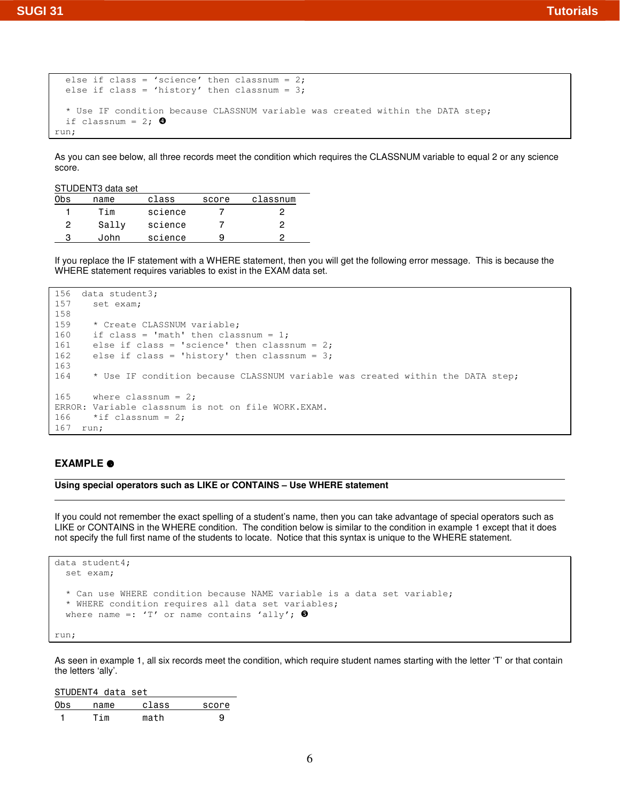```
else if class = 'science' then classnum = 2;
  else if class = 'history' then classnum = 3;
   * Use IF condition because CLASSNUM variable was created within the DATA step; 
  if classnum = 2; ③run;
```
As you can see below, all three records meet the condition which requires the CLASSNUM variable to equal 2 or any science score.

STUDENT3 data set

| 0bs | name  | class   | score | classnum |
|-----|-------|---------|-------|----------|
|     | Tim   | science |       |          |
| 2   | Sallv | science |       |          |
| 3   | John  | science | 9     |          |

If you replace the IF statement with a WHERE statement, then you will get the following error message. This is because the WHERE statement requires variables to exist in the EXAM data set.

```
156 data student3; 
157 set exam; 
158<br>159
       * Create CLASSNUM variable;
160 if class = 'math' then classnum = 1;
161 else if class = 'science' then classnum = 2;
162 else if class = 'history' then classnum = 3;
163 
164 * Use IF condition because CLASSNUM variable was created within the DATA step;
165 where classnum = 2;
ERROR: Variable classnum is not on file WORK.EXAM. 
166 *if classnum = 2;
167 run;
```
## **EXAMPLE**

**Using special operators such as LIKE or CONTAINS – Use WHERE statement** 

If you could not remember the exact spelling of a student's name, then you can take advantage of special operators such as LIKE or CONTAINS in the WHERE condition. The condition below is similar to the condition in example 1 except that it does not specify the full first name of the students to locate. Notice that this syntax is unique to the WHERE statement.

```
data student4; 
   set exam; 
   * Can use WHERE condition because NAME variable is a data set variable; 
   * WHERE condition requires all data set variables; 
  where name =: 'T' or name contains 'ally'; \bullet
```
\_\_\_\_\_\_\_\_\_\_\_\_\_\_\_\_\_\_\_\_\_\_\_\_\_\_\_\_\_\_\_\_\_\_\_\_\_\_\_\_\_\_\_\_\_\_\_\_\_\_\_\_\_\_\_\_\_\_\_\_\_\_\_\_\_\_\_\_\_\_\_\_\_\_\_\_\_\_\_\_

 $\_$  . The contribution of the contribution of the contribution of the contribution of the contribution of the contribution of the contribution of the contribution of the contribution of the contribution of the contributio

run;

As seen in example 1, all six records meet the condition, which require student names starting with the letter 'T' or that contain the letters 'ally'.

| STUDENT4 data set |     |      |       |       |
|-------------------|-----|------|-------|-------|
| 0bs               |     | name | class | score |
|                   | Tim |      | math  | 9     |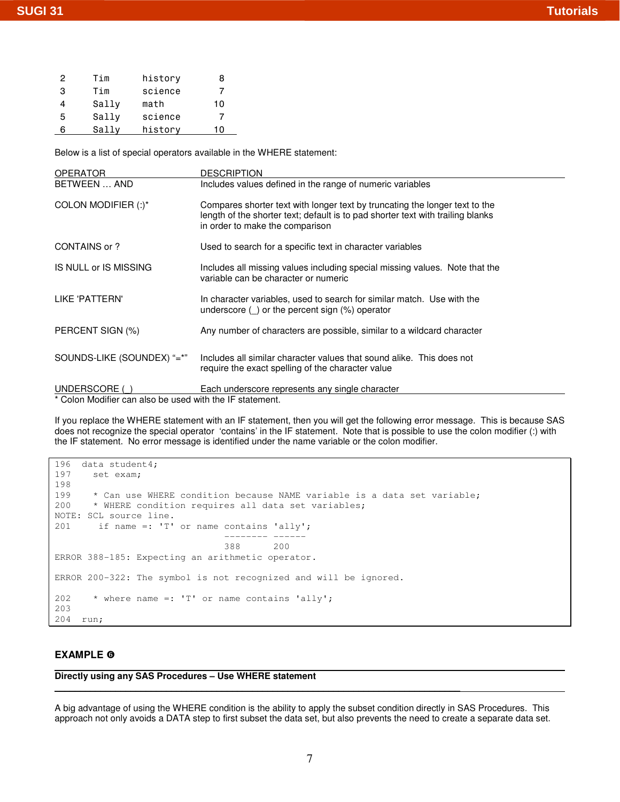| 2 | Tim   | history | 8  |
|---|-------|---------|----|
| 3 | Tim   | science | 7  |
| 4 | Sally | math    | 10 |
| 5 | Sally | science | 7  |
|   | Sallv | history | 10 |

Below is a list of special operators available in the WHERE statement:

| OPERATOR                                                | <b>DESCRIPTION</b>                                                                                                                                                                                |
|---------------------------------------------------------|---------------------------------------------------------------------------------------------------------------------------------------------------------------------------------------------------|
| BETWEEN  AND                                            | Includes values defined in the range of numeric variables                                                                                                                                         |
| COLON MODIFIER (:)*                                     | Compares shorter text with longer text by truncating the longer text to the<br>length of the shorter text; default is to pad shorter text with trailing blanks<br>in order to make the comparison |
| CONTAINS or ?                                           | Used to search for a specific text in character variables                                                                                                                                         |
| IS NULL or IS MISSING                                   | Includes all missing values including special missing values. Note that the<br>variable can be character or numeric                                                                               |
| LIKE 'PATTERN'                                          | In character variables, used to search for similar match. Use with the<br>underscore $($ ) or the percent sign $(\%)$ operator                                                                    |
| PERCENT SIGN (%)                                        | Any number of characters are possible, similar to a wildcard character                                                                                                                            |
| SOUNDS-LIKE (SOUNDEX) "=*"                              | Includes all similar character values that sound alike. This does not<br>require the exact spelling of the character value                                                                        |
| UNDERSCORE (                                            | Each underscore represents any single character                                                                                                                                                   |
| * Oslan Madifian san alaa ka waad with tha IE statement |                                                                                                                                                                                                   |

Colon Modifier can also be used with the IF statement.

If you replace the WHERE statement with an IF statement, then you will get the following error message. This is because SAS does not recognize the special operator 'contains' in the IF statement. Note that is possible to use the colon modifier (:) with the IF statement. No error message is identified under the name variable or the colon modifier.

```
196 data student4;<br>197 set exam:
      set exam;
198 
199 * Can use WHERE condition because NAME variable is a data set variable;
200 * WHERE condition requires all data set variables; 
NOTE: SCL source line. 
201 if name =: 'T' or name contains 'ally'; 
                                 -------- ------ 
                                 388 200 
ERROR 388-185: Expecting an arithmetic operator. 
ERROR 200-322: The symbol is not recognized and will be ignored. 
202 * where name =: 'T' or name contains 'ally'; 
203 
204 run;
```
 $\_$  . The contribution of the contribution of the contribution of the contribution of the contribution of the contribution of the contribution of the contribution of the contribution of the contribution of the contributio

\_\_\_\_\_\_\_\_\_\_\_\_\_\_\_\_\_\_\_\_\_\_\_\_\_\_\_\_\_\_\_\_\_\_\_\_\_\_\_\_\_\_\_\_\_\_\_\_\_\_\_\_\_\_\_\_\_\_\_\_\_\_\_\_\_\_\_\_\_\_\_\_\_\_\_\_\_\_\_\_

## **EXAMPLE**

**Directly using any SAS Procedures – Use WHERE statement** 

A big advantage of using the WHERE condition is the ability to apply the subset condition directly in SAS Procedures. This approach not only avoids a DATA step to first subset the data set, but also prevents the need to create a separate data set.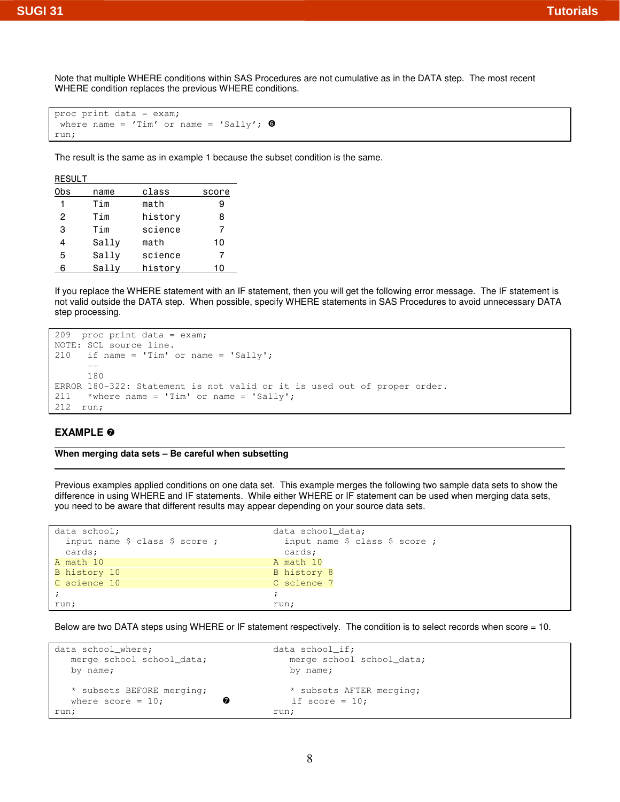Note that multiple WHERE conditions within SAS Procedures are not cumulative as in the DATA step. The most recent WHERE condition replaces the previous WHERE conditions.

```
proc print data = exam; 
where name = 'Tim' or name = 'Sally'; \bulletrun;
```
The result is the same as in example 1 because the subset condition is the same.

#### RESULT

| 0bs | name  | class   | score |
|-----|-------|---------|-------|
|     | Tim   | math    | 9     |
| 2   | Tim   | historv | 8     |
| 3   | Tim   | science | 7     |
| 4   | Sally | math    | 10    |
| 5   | Sally | science | 7     |
| 6   | Sallv | history | 10    |

If you replace the WHERE statement with an IF statement, then you will get the following error message. The IF statement is not valid outside the DATA step. When possible, specify WHERE statements in SAS Procedures to avoid unnecessary DATA step processing.

```
209 proc print data = exam; 
NOTE: SCL source line. 
210 if name = 'Tim' or name = 'Sally'; 
       -- 
       180 
ERROR 180-322: Statement is not valid or it is used out of proper order. 
211 *where name = 'Tim' or name = 'Sally';
212 run;
```
 $\_$  . The contribution of the contribution of the contribution of the contribution of the contribution of the contribution of the contribution of the contribution of the contribution of the contribution of the contributio

 $\_$  . The contribution of the contribution of the contribution of the contribution of the contribution of the contribution of the contribution of the contribution of the contribution of the contribution of the contributio

## **EXAMPLE**

## **When merging data sets – Be careful when subsetting**

Previous examples applied conditions on one data set. This example merges the following two sample data sets to show the difference in using WHERE and IF statements. While either WHERE or IF statement can be used when merging data sets, you need to be aware that different results may appear depending on your source data sets.

| data school;<br>input name \$ class \$ score ; | data school data;<br>input name $$ class $ score ;$ |
|------------------------------------------------|-----------------------------------------------------|
| cards;                                         | cards;                                              |
| A math 10                                      | A math 10                                           |
| B history 10                                   | B history 8                                         |
| C science 10                                   | C science 7                                         |
|                                                |                                                     |
| run;                                           | run;                                                |

Below are two DATA steps using WHERE or IF statement respectively. The condition is to select records when score = 10.

```
data school_where; example if the data school_if;
 merge school school_data; merge school school_data;
 by name; by name;
   * subsets BEFORE merging; * subsets AFTER merging; 
 where score = 10; \bullet if score = 10;
run; run;
```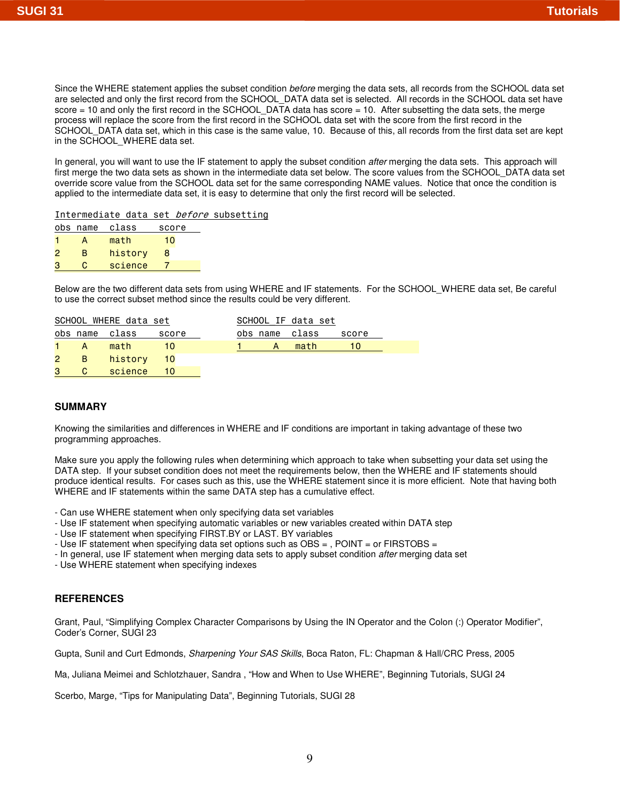Since the WHERE statement applies the subset condition before merging the data sets, all records from the SCHOOL data set are selected and only the first record from the SCHOOL\_DATA data set is selected. All records in the SCHOOL data set have score  $=$  10 and only the first record in the SCHOOL\_DATA data has score  $=$  10. After subsetting the data sets, the merge process will replace the score from the first record in the SCHOOL data set with the score from the first record in the SCHOOL\_DATA data set, which in this case is the same value, 10. Because of this, all records from the first data set are kept in the SCHOOL\_WHERE data set.

In general, you will want to use the IF statement to apply the subset condition after merging the data sets. This approach will first merge the two data sets as shown in the intermediate data set below. The score values from the SCHOOL\_DATA data set override score value from the SCHOOL data set for the same corresponding NAME values. Notice that once the condition is applied to the intermediate data set, it is easy to determine that only the first record will be selected.

Intermediate data set before subsetting

|   | obs name | class   | score |
|---|----------|---------|-------|
|   | А        | math    | 10    |
| 2 | R        | history | 8     |
| З | r.       | science |       |

Below are the two different data sets from using WHERE and IF statements. For the SCHOOL\_WHERE data set, Be careful to use the correct subset method since the results could be very different.

| SCHOOL WHERE data set |  |                      |           |  | SCHOOL IF data set |  |                |       |  |
|-----------------------|--|----------------------|-----------|--|--------------------|--|----------------|-------|--|
|                       |  | obs name class score |           |  |                    |  | obs name class | score |  |
|                       |  | 1 A math             | $\sim$ 10 |  |                    |  | A math         | -10   |  |
|                       |  | 2 B history 10       |           |  |                    |  |                |       |  |
|                       |  | 3 C science 10       |           |  |                    |  |                |       |  |

# **SUMMARY**

Knowing the similarities and differences in WHERE and IF conditions are important in taking advantage of these two programming approaches.

Make sure you apply the following rules when determining which approach to take when subsetting your data set using the DATA step. If your subset condition does not meet the requirements below, then the WHERE and IF statements should produce identical results. For cases such as this, use the WHERE statement since it is more efficient. Note that having both WHERE and IF statements within the same DATA step has a cumulative effect.

- Can use WHERE statement when only specifying data set variables

- Use IF statement when specifying automatic variables or new variables created within DATA step
- Use IF statement when specifying FIRST.BY or LAST. BY variables

- Use IF statement when specifying data set options such as  $OBS =$ ,  $POINT =$  or  $FIRSTOBS =$ 

- In general, use IF statement when merging data sets to apply subset condition after merging data set
- Use WHERE statement when specifying indexes

# **REFERENCES**

Grant, Paul, "Simplifying Complex Character Comparisons by Using the IN Operator and the Colon (:) Operator Modifier", Coder's Corner, SUGI 23

Gupta, Sunil and Curt Edmonds, Sharpening Your SAS Skills, Boca Raton, FL: Chapman & Hall/CRC Press, 2005

Ma, Juliana Meimei and Schlotzhauer, Sandra , "How and When to Use WHERE", Beginning Tutorials, SUGI 24

Scerbo, Marge, "Tips for Manipulating Data", Beginning Tutorials, SUGI 28